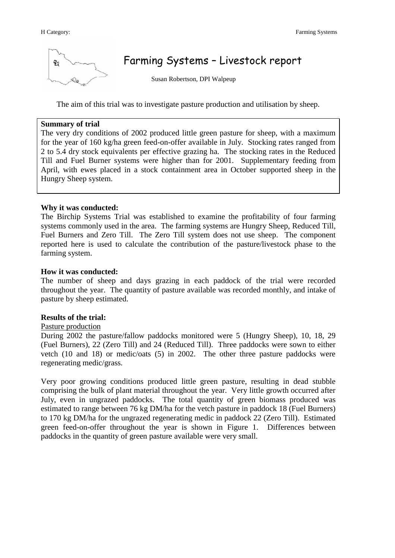

# Farming Systems – Livestock report

Susan Robertson, DPI Walpeup

The aim of this trial was to investigate pasture production and utilisation by sheep.

#### **Summary of trial**

The very dry conditions of 2002 produced little green pasture for sheep, with a maximum for the year of 160 kg/ha green feed-on-offer available in July. Stocking rates ranged from 2 to 5.4 dry stock equivalents per effective grazing ha. The stocking rates in the Reduced Till and Fuel Burner systems were higher than for 2001. Supplementary feeding from April, with ewes placed in a stock containment area in October supported sheep in the Hungry Sheep system.

## **Why it was conducted:**

The Birchip Systems Trial was established to examine the profitability of four farming systems commonly used in the area. The farming systems are Hungry Sheep, Reduced Till, Fuel Burners and Zero Till. The Zero Till system does not use sheep. The component reported here is used to calculate the contribution of the pasture/livestock phase to the farming system.

## **How it was conducted:**

The number of sheep and days grazing in each paddock of the trial were recorded throughout the year. The quantity of pasture available was recorded monthly, and intake of pasture by sheep estimated.

## **Results of the trial:**

#### Pasture production

During 2002 the pasture/fallow paddocks monitored were 5 (Hungry Sheep), 10, 18, 29 (Fuel Burners), 22 (Zero Till) and 24 (Reduced Till). Three paddocks were sown to either vetch (10 and 18) or medic/oats (5) in 2002. The other three pasture paddocks were regenerating medic/grass.

Very poor growing conditions produced little green pasture, resulting in dead stubble comprising the bulk of plant material throughout the year. Very little growth occurred after July, even in ungrazed paddocks. The total quantity of green biomass produced was estimated to range between 76 kg DM/ha for the vetch pasture in paddock 18 (Fuel Burners) to 170 kg DM/ha for the ungrazed regenerating medic in paddock 22 (Zero Till). Estimated green feed-on-offer throughout the year is shown in Figure 1. Differences between paddocks in the quantity of green pasture available were very small.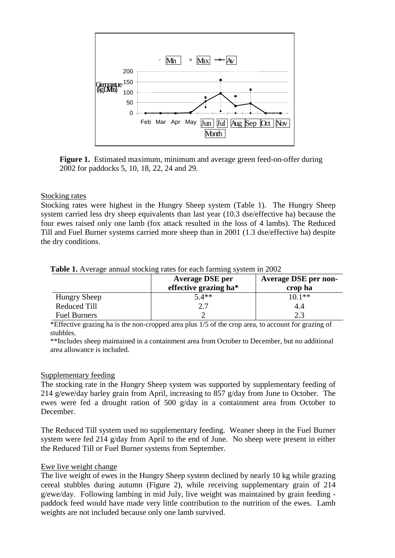

**Figure 1.** Estimated maximum, minimum and average green feed-on-offer during 2002 for paddocks 5, 10, 18, 22, 24 and 29.

## Stocking rates

Stocking rates were highest in the Hungry Sheep system (Table 1). The Hungry Sheep system carried less dry sheep equivalents than last year (10.3 dse/effective ha) because the four ewes raised only one lamb (fox attack resulted in the loss of 4 lambs). The Reduced Till and Fuel Burner systems carried more sheep than in 2001 (1.3 dse/effective ha) despite the dry conditions.

|                     | <b>Average DSE per</b><br>effective grazing ha* | <b>Average DSE per non-</b><br>crop ha |
|---------------------|-------------------------------------------------|----------------------------------------|
| <b>Hungry Sheep</b> | $5.4**$                                         | $10.1**$                               |
| Reduced Till        |                                                 | 4.4                                    |
| <b>Fuel Burners</b> |                                                 | 2.3                                    |

#### **Table 1.** Average annual stocking rates for each farming system in 2002

\*Effective grazing ha is the non-cropped area plus 1/5 of the crop area, to account for grazing of stubbles.

\*\*Includes sheep maintained in a containment area from October to December, but no additional area allowance is included.

## Supplementary feeding

The stocking rate in the Hungry Sheep system was supported by supplementary feeding of 214 g/ewe/day barley grain from April, increasing to 857 g/day from June to October. The ewes were fed a drought ration of 500 g/day in a containment area from October to December.

The Reduced Till system used no supplementary feeding. Weaner sheep in the Fuel Burner system were fed 214 g/day from April to the end of June. No sheep were present in either the Reduced Till or Fuel Burner systems from September.

## Ewe live weight change

The live weight of ewes in the Hungry Sheep system declined by nearly 10 kg while grazing cereal stubbles during autumn (Figure 2), while receiving supplementary grain of 214 g/ewe/day. Following lambing in mid July, live weight was maintained by grain feeding paddock feed would have made very little contribution to the nutrition of the ewes. Lamb weights are not included because only one lamb survived.